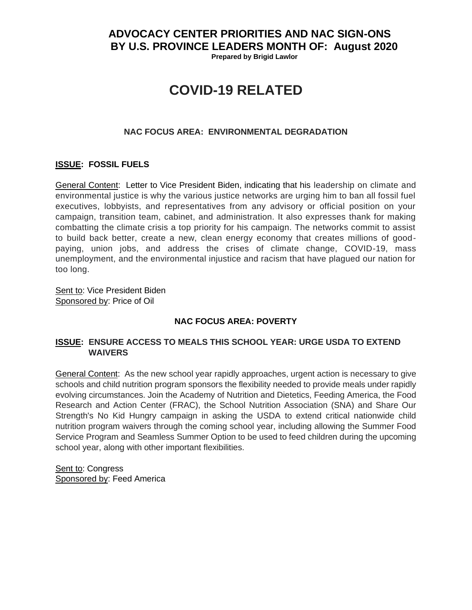## **ADVOCACY CENTER PRIORITIES AND NAC SIGN-ONS BY U.S. PROVINCE LEADERS MONTH OF: August 2020**

 **Prepared by Brigid Lawlor**

# **COVID-19 RELATED**

### **NAC FOCUS AREA: ENVIRONMENTAL DEGRADATION**

### **ISSUE: FOSSIL FUELS**

General Content: Letter to Vice President Biden, indicating that his leadership on climate and environmental justice is why the various justice networks are urging him to ban all fossil fuel executives, lobbyists, and representatives from any advisory or official position on your campaign, transition team, cabinet, and administration. It also expresses thank for making combatting the climate crisis a top priority for his campaign. The networks commit to assist to build back better, create a new, clean energy economy that creates millions of goodpaying, union jobs, and address the crises of climate change, COVID-19, mass unemployment, and the environmental injustice and racism that have plagued our nation for too long.

Sent to: Vice President Biden Sponsored by: Price of Oil

### **NAC FOCUS AREA: POVERTY**

### **ISSUE: ENSURE ACCESS TO MEALS THIS SCHOOL YEAR: URGE USDA TO EXTEND WAIVERS**

General Content: As the new school year rapidly approaches, urgent action is necessary to give schools and child nutrition program sponsors the flexibility needed to provide meals under rapidly evolving circumstances. Join the Academy of Nutrition and Dietetics, Feeding America, the Food Research and Action Center (FRAC), the School Nutrition Association (SNA) and Share Our Strength's No Kid Hungry campaign in asking the USDA to extend critical nationwide child nutrition program waivers through the coming school year, including allowing the Summer Food Service Program and Seamless Summer Option to be used to feed children during the upcoming school year, along with other important flexibilities.

Sent to: Congress Sponsored by: Feed America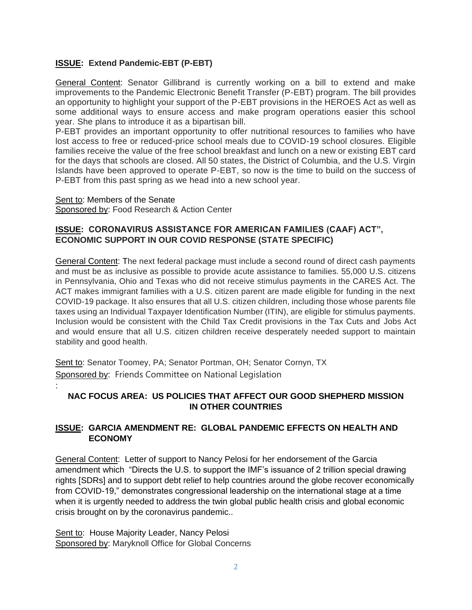## **ISSUE: Extend Pandemic-EBT (P-EBT)**

General Content: Senator Gillibrand is currently working on a bill to extend and make improvements to the Pandemic Electronic Benefit Transfer (P-EBT) program. The bill provides an opportunity to highlight your support of the P-EBT provisions in the HEROES Act as well as some additional ways to ensure access and make program operations easier this school year. She plans to introduce it as a bipartisan bill.

P-EBT provides an important opportunity to offer nutritional resources to families who have lost access to free or reduced-price school meals due to COVID-19 school closures. Eligible families receive the value of the free school breakfast and lunch on a new or existing EBT card for the days that schools are closed. All 50 states, the District of Columbia, and the U.S. Virgin Islands have been approved to operate P-EBT, so now is the time to build on the success of P-EBT from this past spring as we head into a new school year.

Sent to: Members of the Senate Sponsored by: Food Research & Action Center

:

### **ISSUE: CORONAVIRUS ASSISTANCE FOR AMERICAN FAMILIES (CAAF) ACT", ECONOMIC SUPPORT IN OUR COVID RESPONSE (STATE SPECIFIC)**

General Content: The next federal package must include a second round of direct cash payments and must be as inclusive as possible to provide acute assistance to families. 55,000 U.S. citizens in Pennsylvania, Ohio and Texas who did not receive stimulus payments in the CARES Act. The ACT makes immigrant families with a U.S. citizen parent are made eligible for funding in the next COVID-19 package. It also ensures that all U.S. citizen children, including those whose parents file taxes using an Individual Taxpayer Identification Number (ITIN), are eligible for stimulus payments. Inclusion would be consistent with the Child Tax Credit provisions in the Tax Cuts and Jobs Act and would ensure that all U.S. citizen children receive desperately needed support to maintain stability and good health.

Sent to: Senator Toomey, PA; Senator Portman, OH; Senator Cornyn, TX Sponsored by: Friends Committee on National Legislation

## **NAC FOCUS AREA: US POLICIES THAT AFFECT OUR GOOD SHEPHERD MISSION IN OTHER COUNTRIES**

## **ISSUE: GARCIA AMENDMENT RE: GLOBAL PANDEMIC EFFECTS ON HEALTH AND ECONOMY**

General Content: Letter of support to Nancy Pelosi for her endorsement of the Garcia amendment which "Directs the U.S. to support the IMF's issuance of 2 trillion special drawing rights [SDRs] and to support debt relief to help countries around the globe recover economically from COVID-19," demonstrates congressional leadership on the international stage at a time when it is urgently needed to address the twin global public health crisis and global economic crisis brought on by the coronavirus pandemic..

Sent to: House Majority Leader, Nancy Pelosi Sponsored by: Maryknoll Office for Global Concerns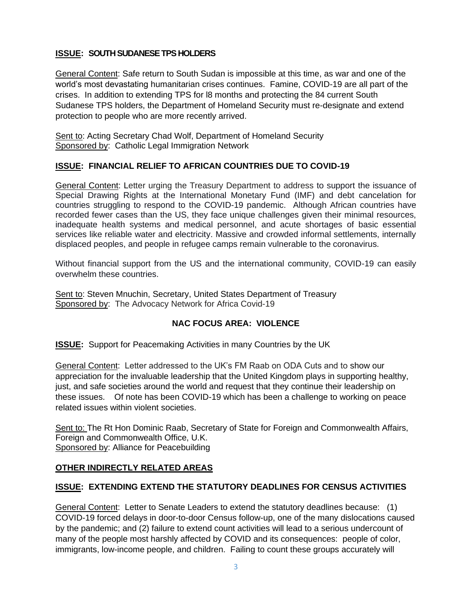## **ISSUE: SOUTH SUDANESE TPS HOLDERS**

General Content: Safe return to South Sudan is impossible at this time, as war and one of the world's most devastating humanitarian crises continues. Famine, COVID-19 are all part of the crises. In addition to extending TPS for l8 months and protecting the 84 current South Sudanese TPS holders, the Department of Homeland Security must re-designate and extend protection to people who are more recently arrived.

Sent to: Acting Secretary Chad Wolf, Department of Homeland Security Sponsored by: Catholic Legal Immigration Network

### **ISSUE: FINANCIAL RELIEF TO AFRICAN COUNTRIES DUE TO COVID-19**

General Content: Letter urging the Treasury Department to address to support the issuance of Special Drawing Rights at the International Monetary Fund (IMF) and debt cancelation for countries struggling to respond to the COVID-19 pandemic. Although African countries have recorded fewer cases than the US, they face unique challenges given their minimal resources, inadequate health systems and medical personnel, and acute shortages of basic essential services like reliable water and electricity. Massive and crowded informal settlements, internally displaced peoples, and people in refugee camps remain vulnerable to the coronavirus.

Without financial support from the US and the international community, COVID-19 can easily overwhelm these countries.

Sent to: Steven Mnuchin, Secretary, United States Department of Treasury Sponsored by: The Advocacy Network for Africa Covid-19

### **NAC FOCUS AREA: VIOLENCE**

**ISSUE:** Support for Peacemaking Activities in many Countries by the UK

General Content: Letter addressed to the UK's FM Raab on ODA Cuts and to show our appreciation for the invaluable leadership that the United Kingdom plays in supporting healthy, just, and safe societies around the world and request that they continue their leadership on these issues. Of note has been COVID-19 which has been a challenge to working on peace related issues within violent societies.

Sent to: The Rt Hon Dominic Raab, Secretary of State for Foreign and Commonwealth Affairs, Foreign and Commonwealth Office, U.K. Sponsored by: Alliance for Peacebuilding

### **OTHER INDIRECTLY RELATED AREAS**

### **ISSUE: EXTENDING EXTEND THE STATUTORY DEADLINES FOR CENSUS ACTIVITIES**

General Content: Letter to Senate Leaders to extend the statutory deadlines because: (1) COVID-19 forced delays in door-to-door Census follow-up, one of the many dislocations caused by the pandemic; and (2) failure to extend count activities will lead to a serious undercount of many of the people most harshly affected by COVID and its consequences: people of color, immigrants, low-income people, and children. Failing to count these groups accurately will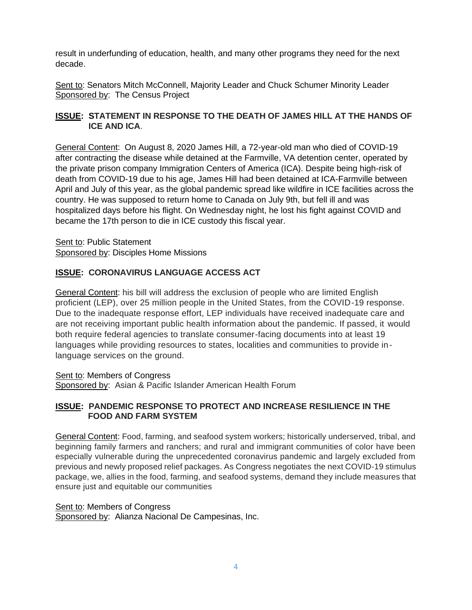result in underfunding of education, health, and many other programs they need for the next decade.

Sent to: Senators Mitch McConnell, Majority Leader and Chuck Schumer Minority Leader Sponsored by: The Census Project

## **ISSUE: STATEMENT IN RESPONSE TO THE DEATH OF JAMES HILL AT THE HANDS OF ICE AND ICA**.

General Content: On August 8, 2020 James Hill, a 72-year-old man who died of COVID-19 after contracting the disease while detained at the Farmville, VA detention center, operated by the private prison company Immigration Centers of America (ICA). Despite being high-risk of death from COVID-19 due to his age, James Hill had been detained at ICA-Farmville between April and July of this year, as the global pandemic spread like wildfire in ICE facilities across the country. He was supposed to return home to Canada on July 9th, but fell ill and was hospitalized days before his flight. On Wednesday night, he lost his fight against COVID and became the 17th person to die in ICE custody this fiscal year.

Sent to: Public Statement Sponsored by: Disciples Home Missions

## **ISSUE: CORONAVIRUS LANGUAGE ACCESS ACT**

General Content: his bill will address the exclusion of people who are limited English proficient (LEP), over 25 million people in the United States, from the COVID-19 response. Due to the inadequate response effort, LEP individuals have received inadequate care and are not receiving important public health information about the pandemic. If passed, it would both require federal agencies to translate consumer-facing documents into at least 19 languages while providing resources to states, localities and communities to provide inlanguage services on the ground.

Sent to: Members of Congress

Sponsored by: Asian & Pacific Islander American Health Forum

## **ISSUE: PANDEMIC RESPONSE TO PROTECT AND INCREASE RESILIENCE IN THE FOOD AND FARM SYSTEM**

General Content: Food, farming, and seafood system workers; historically underserved, tribal, and beginning family farmers and ranchers; and rural and immigrant communities of color have been especially vulnerable during the unprecedented coronavirus pandemic and largely excluded from previous and newly proposed relief packages. As Congress negotiates the next COVID-19 stimulus package, we, allies in the food, farming, and seafood systems, demand they include measures that ensure just and equitable our communities

### Sent to: Members of Congress

Sponsored by: Alianza Nacional De Campesinas, Inc.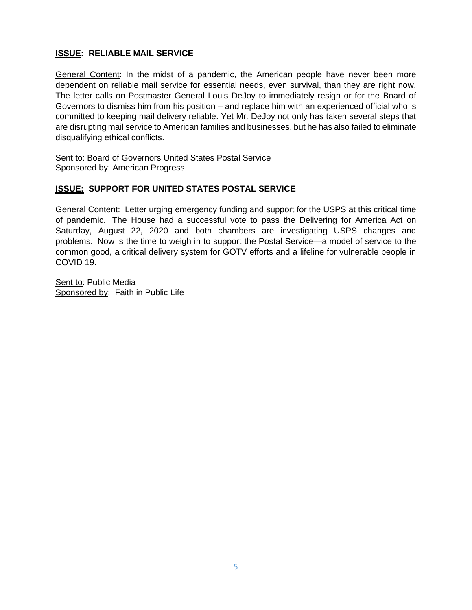## **ISSUE: RELIABLE MAIL SERVICE**

General Content: In the midst of a pandemic, the American people have never been more dependent on reliable mail service for essential needs, even survival, than they are right now. The letter calls on Postmaster General Louis DeJoy to immediately resign or for the Board of Governors to dismiss him from his position – and replace him with an experienced official who is committed to keeping mail delivery reliable. Yet Mr. DeJoy not only has taken several steps that are disrupting mail service to American families and businesses, but he has also failed to eliminate disqualifying ethical conflicts.

Sent to: Board of Governors United States Postal Service Sponsored by: American Progress

## **ISSUE: SUPPORT FOR UNITED STATES POSTAL SERVICE**

General Content: Letter urging emergency funding and support for the USPS at this critical time of pandemic. The House had a successful vote to pass the Delivering for America Act on Saturday, August 22, 2020 and both chambers are investigating USPS changes and problems. Now is the time to weigh in to support the Postal Service—a model of service to the common good, a critical delivery system for GOTV efforts and a lifeline for vulnerable people in COVID 19.

Sent to: Public Media Sponsored by: Faith in Public Life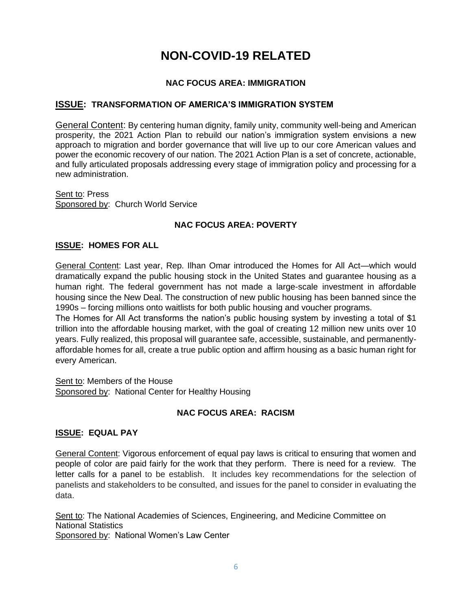## **NON-COVID-19 RELATED**

## **NAC FOCUS AREA: IMMIGRATION**

### **ISSUE: TRANSFORMATION OF AMERICA'S IMMIGRATION SYSTEM**

General Content: By centering human dignity, family unity, community well-being and American prosperity, the 2021 Action Plan to rebuild our nation's immigration system envisions a new approach to migration and border governance that will live up to our core American values and power the economic recovery of our nation. The 2021 Action Plan is a set of concrete, actionable, and fully articulated proposals addressing every stage of immigration policy and processing for a new administration.

Sent to: Press Sponsored by: Church World Service

## **NAC FOCUS AREA: POVERTY**

### **ISSUE: HOMES FOR ALL**

General Content: Last year, Rep. Ilhan Omar introduced the Homes for All Act—which would dramatically expand the public housing stock in the United States and guarantee housing as a human right. The federal government has not made a large-scale investment in affordable housing since the New Deal. The construction of new public housing has been banned since the 1990s – forcing millions onto waitlists for both public housing and voucher programs.

The Homes for All Act transforms the nation's public housing system by investing a total of \$1 trillion into the affordable housing market, with the goal of creating 12 million new units over 10 years. Fully realized, this proposal will guarantee safe, accessible, sustainable, and permanentlyaffordable homes for all, create a true public option and affirm housing as a basic human right for every American.

Sent to: Members of the House Sponsored by: National Center for Healthy Housing

### **NAC FOCUS AREA: RACISM**

### **ISSUE: EQUAL PAY**

General Content: Vigorous enforcement of equal pay laws is critical to ensuring that women and people of color are paid fairly for the work that they perform. There is need for a review. The letter calls for a panel to be establish. It includes key recommendations for the selection of panelists and stakeholders to be consulted, and issues for the panel to consider in evaluating the data.

Sent to: The National Academies of Sciences, Engineering, and Medicine Committee on National Statistics Sponsored by: National Women's Law Center